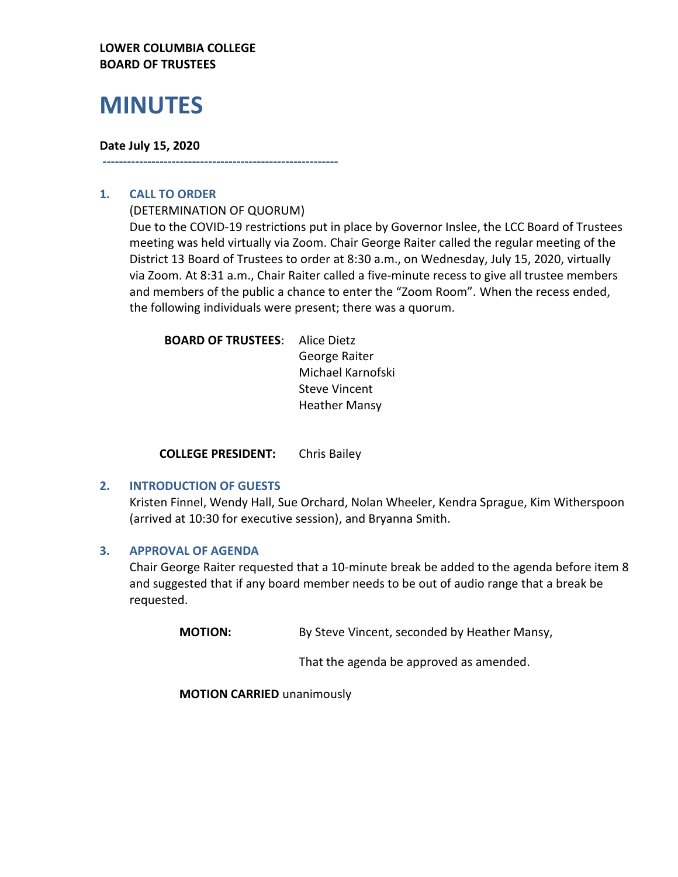## **LOWER COLUMBIA COLLEGE BOARD OF TRUSTEES**

# **MINUTES**

### **Date July 15, 2020**

## **1. CALL TO ORDER**

(DETERMINATION OF QUORUM)

**----------------------------------------------------------**

Due to the COVID-19 restrictions put in place by Governor Inslee, the LCC Board of Trustees meeting was held virtually via Zoom. Chair George Raiter called the regular meeting of the District 13 Board of Trustees to order at 8:30 a.m., on Wednesday, July 15, 2020, virtually via Zoom. At 8:31 a.m., Chair Raiter called a five-minute recess to give all trustee members and members of the public a chance to enter the "Zoom Room". When the recess ended, the following individuals were present; there was a quorum.

| <b>BOARD OF TRUSTEES:</b> | Alice Dietz          |
|---------------------------|----------------------|
|                           | George Raiter        |
|                           | Michael Karnofski    |
|                           | <b>Steve Vincent</b> |
|                           | <b>Heather Mansy</b> |
|                           |                      |

**COLLEGE PRESIDENT:** Chris Bailey

### **2. INTRODUCTION OF GUESTS**

Kristen Finnel, Wendy Hall, Sue Orchard, Nolan Wheeler, Kendra Sprague, Kim Witherspoon (arrived at 10:30 for executive session), and Bryanna Smith.

### **3. APPROVAL OF AGENDA**

Chair George Raiter requested that a 10-minute break be added to the agenda before item 8 and suggested that if any board member needs to be out of audio range that a break be requested.

**MOTION:** By Steve Vincent, seconded by Heather Mansy,

That the agenda be approved as amended.

**MOTION CARRIED** unanimously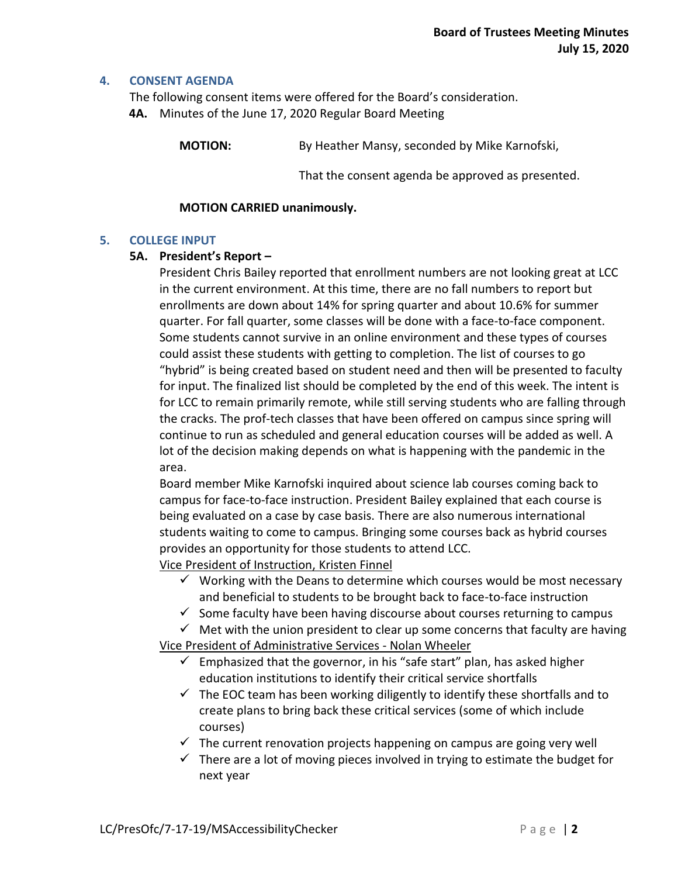#### **4. CONSENT AGENDA**

The following consent items were offered for the Board's consideration. **4A.** Minutes of the June 17, 2020 Regular Board Meeting

**MOTION:** By Heather Mansy, seconded by Mike Karnofski,

That the consent agenda be approved as presented.

#### **MOTION CARRIED unanimously.**

#### **5. COLLEGE INPUT**

#### **5A. President's Report –**

President Chris Bailey reported that enrollment numbers are not looking great at LCC in the current environment. At this time, there are no fall numbers to report but enrollments are down about 14% for spring quarter and about 10.6% for summer quarter. For fall quarter, some classes will be done with a face-to-face component. Some students cannot survive in an online environment and these types of courses could assist these students with getting to completion. The list of courses to go "hybrid" is being created based on student need and then will be presented to faculty for input. The finalized list should be completed by the end of this week. The intent is for LCC to remain primarily remote, while still serving students who are falling through the cracks. The prof-tech classes that have been offered on campus since spring will continue to run as scheduled and general education courses will be added as well. A lot of the decision making depends on what is happening with the pandemic in the area.

Board member Mike Karnofski inquired about science lab courses coming back to campus for face-to-face instruction. President Bailey explained that each course is being evaluated on a case by case basis. There are also numerous international students waiting to come to campus. Bringing some courses back as hybrid courses provides an opportunity for those students to attend LCC.

Vice President of Instruction, Kristen Finnel

- $\checkmark$  Working with the Deans to determine which courses would be most necessary and beneficial to students to be brought back to face-to-face instruction
- $\checkmark$  Some faculty have been having discourse about courses returning to campus
- $\checkmark$  Met with the union president to clear up some concerns that faculty are having

Vice President of Administrative Services - Nolan Wheeler

- $\checkmark$  Emphasized that the governor, in his "safe start" plan, has asked higher education institutions to identify their critical service shortfalls
- $\checkmark$  The EOC team has been working diligently to identify these shortfalls and to create plans to bring back these critical services (some of which include courses)
- $\checkmark$  The current renovation projects happening on campus are going very well
- $\checkmark$  There are a lot of moving pieces involved in trying to estimate the budget for next year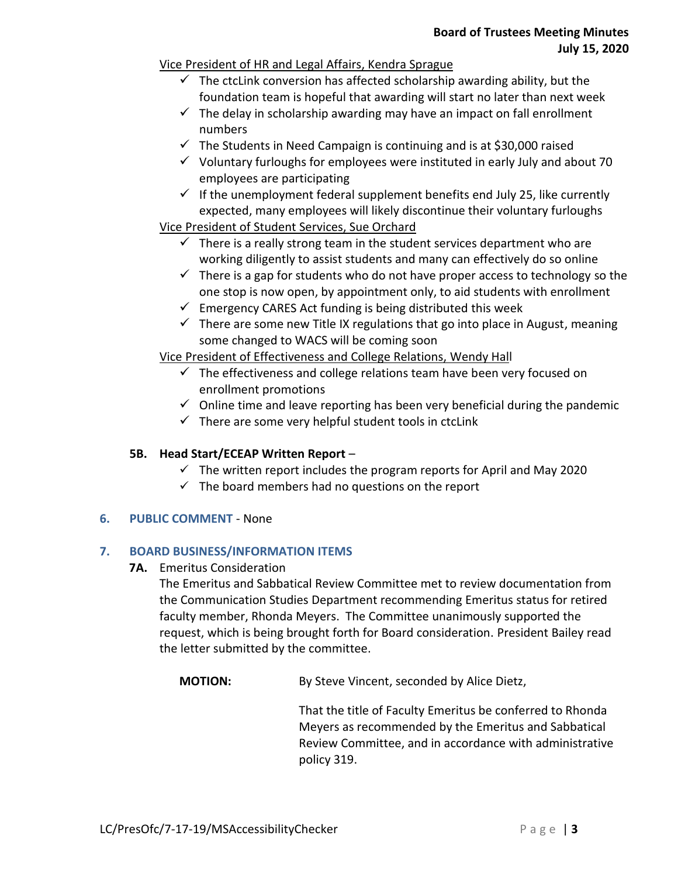## Vice President of HR and Legal Affairs, Kendra Sprague

- $\checkmark$  The ctclink conversion has affected scholarship awarding ability, but the foundation team is hopeful that awarding will start no later than next week
- $\checkmark$  The delay in scholarship awarding may have an impact on fall enrollment numbers
- $\checkmark$  The Students in Need Campaign is continuing and is at \$30,000 raised
- $\checkmark$  Voluntary furloughs for employees were instituted in early July and about 70 employees are participating
- $\checkmark$  If the unemployment federal supplement benefits end July 25, like currently expected, many employees will likely discontinue their voluntary furloughs

# Vice President of Student Services, Sue Orchard

- $\checkmark$  There is a really strong team in the student services department who are working diligently to assist students and many can effectively do so online
- $\checkmark$  There is a gap for students who do not have proper access to technology so the one stop is now open, by appointment only, to aid students with enrollment
- $\checkmark$  Emergency CARES Act funding is being distributed this week
- $\checkmark$  There are some new Title IX regulations that go into place in August, meaning some changed to WACS will be coming soon

Vice President of Effectiveness and College Relations, Wendy Hall

- $\checkmark$  The effectiveness and college relations team have been very focused on enrollment promotions
- $\checkmark$  Online time and leave reporting has been very beneficial during the pandemic
- $\checkmark$  There are some very helpful student tools in ctcLink

# **5B. Head Start/ECEAP Written Report** –

- $\checkmark$  The written report includes the program reports for April and May 2020
- $\checkmark$  The board members had no questions on the report

# **6. PUBLIC COMMENT** - None

# **7. BOARD BUSINESS/INFORMATION ITEMS**

**7A.** Emeritus Consideration

The Emeritus and Sabbatical Review Committee met to review documentation from the Communication Studies Department recommending Emeritus status for retired faculty member, Rhonda Meyers. The Committee unanimously supported the request, which is being brought forth for Board consideration. President Bailey read the letter submitted by the committee.

**MOTION:** By Steve Vincent, seconded by Alice Dietz,

That the title of Faculty Emeritus be conferred to Rhonda Meyers as recommended by the Emeritus and Sabbatical Review Committee, and in accordance with administrative policy 319.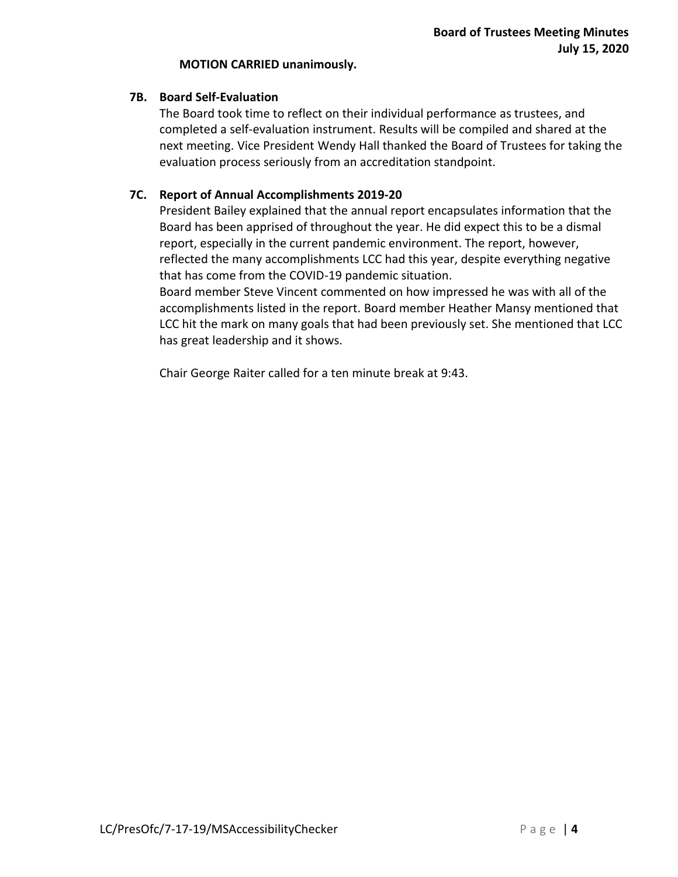#### **MOTION CARRIED unanimously.**

## **7B. Board Self-Evaluation**

The Board took time to reflect on their individual performance as trustees, and completed a self-evaluation instrument. Results will be compiled and shared at the next meeting. Vice President Wendy Hall thanked the Board of Trustees for taking the evaluation process seriously from an accreditation standpoint.

# **7C. Report of Annual Accomplishments 2019-20**

President Bailey explained that the annual report encapsulates information that the Board has been apprised of throughout the year. He did expect this to be a dismal report, especially in the current pandemic environment. The report, however, reflected the many accomplishments LCC had this year, despite everything negative that has come from the COVID-19 pandemic situation.

Board member Steve Vincent commented on how impressed he was with all of the accomplishments listed in the report. Board member Heather Mansy mentioned that LCC hit the mark on many goals that had been previously set. She mentioned that LCC has great leadership and it shows.

Chair George Raiter called for a ten minute break at 9:43.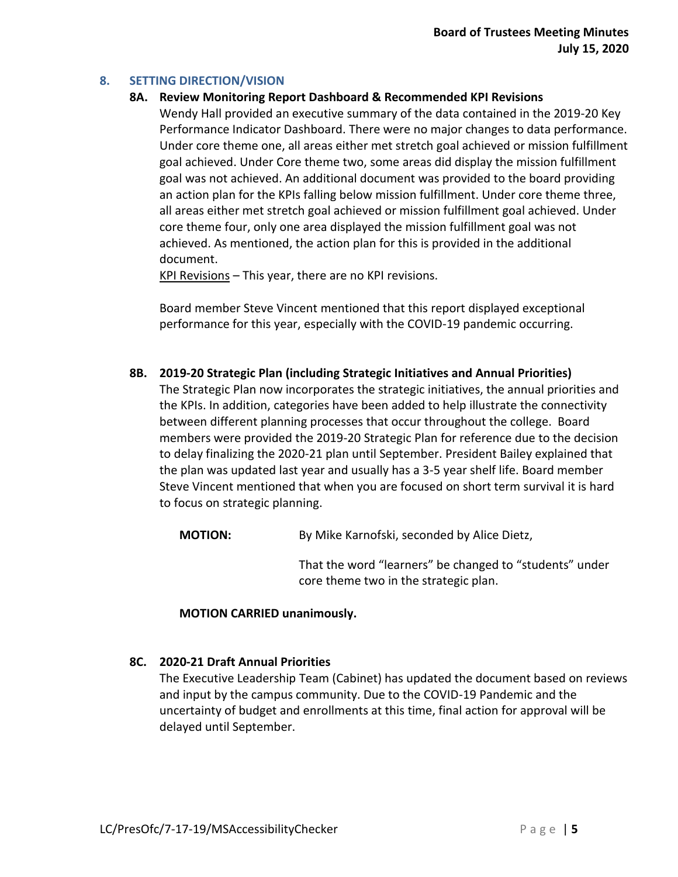## **8. SETTING DIRECTION/VISION**

### **8A. Review Monitoring Report Dashboard & Recommended KPI Revisions**

Wendy Hall provided an executive summary of the data contained in the 2019-20 Key Performance Indicator Dashboard. There were no major changes to data performance. Under core theme one, all areas either met stretch goal achieved or mission fulfillment goal achieved. Under Core theme two, some areas did display the mission fulfillment goal was not achieved. An additional document was provided to the board providing an action plan for the KPIs falling below mission fulfillment. Under core theme three, all areas either met stretch goal achieved or mission fulfillment goal achieved. Under core theme four, only one area displayed the mission fulfillment goal was not achieved. As mentioned, the action plan for this is provided in the additional document.

KPI Revisions – This year, there are no KPI revisions.

Board member Steve Vincent mentioned that this report displayed exceptional performance for this year, especially with the COVID-19 pandemic occurring.

**8B. 2019-20 Strategic Plan (including Strategic Initiatives and Annual Priorities)**

The Strategic Plan now incorporates the strategic initiatives, the annual priorities and the KPIs. In addition, categories have been added to help illustrate the connectivity between different planning processes that occur throughout the college. Board members were provided the 2019-20 Strategic Plan for reference due to the decision to delay finalizing the 2020-21 plan until September. President Bailey explained that the plan was updated last year and usually has a 3-5 year shelf life. Board member Steve Vincent mentioned that when you are focused on short term survival it is hard to focus on strategic planning.

**MOTION:** By Mike Karnofski, seconded by Alice Dietz,

That the word "learners" be changed to "students" under core theme two in the strategic plan.

### **MOTION CARRIED unanimously.**

### **8C. 2020-21 Draft Annual Priorities**

The Executive Leadership Team (Cabinet) has updated the document based on reviews and input by the campus community. Due to the COVID-19 Pandemic and the uncertainty of budget and enrollments at this time, final action for approval will be delayed until September.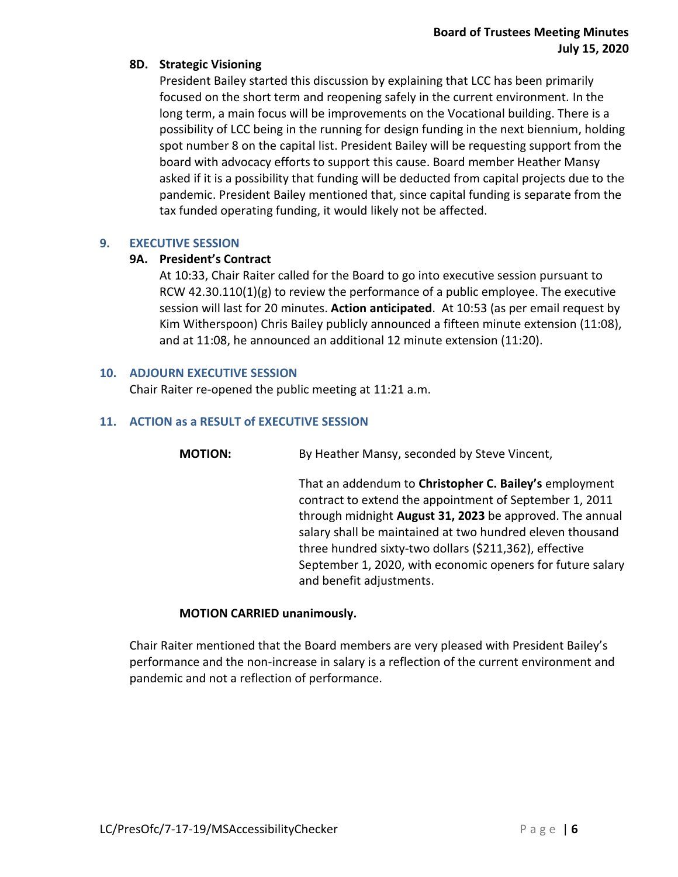## **8D. Strategic Visioning**

President Bailey started this discussion by explaining that LCC has been primarily focused on the short term and reopening safely in the current environment. In the long term, a main focus will be improvements on the Vocational building. There is a possibility of LCC being in the running for design funding in the next biennium, holding spot number 8 on the capital list. President Bailey will be requesting support from the board with advocacy efforts to support this cause. Board member Heather Mansy asked if it is a possibility that funding will be deducted from capital projects due to the pandemic. President Bailey mentioned that, since capital funding is separate from the tax funded operating funding, it would likely not be affected.

### **9. EXECUTIVE SESSION**

## **9A. President's Contract**

At 10:33, Chair Raiter called for the Board to go into executive session pursuant to RCW 42.30.110(1)(g) to review the performance of a public employee. The executive session will last for 20 minutes. **Action anticipated**. At 10:53 (as per email request by Kim Witherspoon) Chris Bailey publicly announced a fifteen minute extension (11:08), and at 11:08, he announced an additional 12 minute extension (11:20).

### **10. ADJOURN EXECUTIVE SESSION**

Chair Raiter re-opened the public meeting at 11:21 a.m.

## **11. ACTION as a RESULT of EXECUTIVE SESSION**

**MOTION:** By Heather Mansy, seconded by Steve Vincent,

That an addendum to **Christopher C. Bailey's** employment contract to extend the appointment of September 1, 2011 through midnight **August 31, 2023** be approved. The annual salary shall be maintained at two hundred eleven thousand three hundred sixty-two dollars (\$211,362), effective September 1, 2020, with economic openers for future salary and benefit adjustments.

### **MOTION CARRIED unanimously.**

Chair Raiter mentioned that the Board members are very pleased with President Bailey's performance and the non-increase in salary is a reflection of the current environment and pandemic and not a reflection of performance.